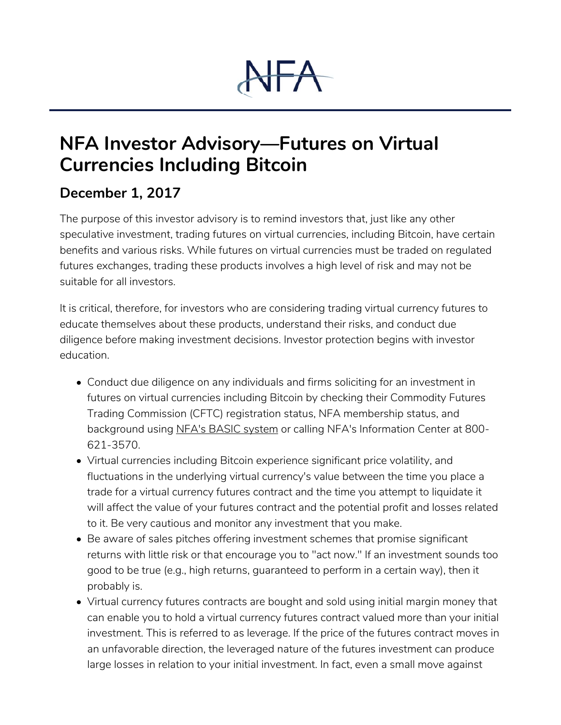## $+A$

## **NFA Investor Advisory—Futures on Virtual Currencies Including Bitcoin**

## **December 1, 2017**

The purpose of this investor advisory is to remind investors that, just like any other speculative investment, trading futures on virtual currencies, including Bitcoin, have certain benefits and various risks. While futures on virtual currencies must be traded on regulated futures exchanges, trading these products involves a high level of risk and may not be suitable for all investors.

It is critical, therefore, for investors who are considering trading virtual currency futures to educate themselves about these products, understand their risks, and conduct due diligence before making investment decisions. Investor protection begins with investor education.

- Conduct due diligence on any individuals and firms soliciting for an investment in futures on virtual currencies including Bitcoin by checking their Commodity Futures Trading Commission (CFTC) registration status, NFA membership status, and background using NFA's BASIC system or calling NFA's Information Center at 800- 621-3570.
- Virtual currencies including Bitcoin experience significant price volatility, and fluctuations in the underlying virtual currency's value between the time you place a trade for a virtual currency futures contract and the time you attempt to liquidate it will affect the value of your futures contract and the potential profit and losses related to it. Be very cautious and monitor any investment that you make.
- Be aware of sales pitches offering investment schemes that promise significant returns with little risk or that encourage you to "act now." If an investment sounds too good to be true (e.g., high returns, guaranteed to perform in a certain way), then it probably is.
- Virtual currency futures contracts are bought and sold using initial margin money that can enable you to hold a virtual currency futures contract valued more than your initial investment. This is referred to as leverage. If the price of the futures contract moves in an unfavorable direction, the leveraged nature of the futures investment can produce large losses in relation to your initial investment. In fact, even a small move against